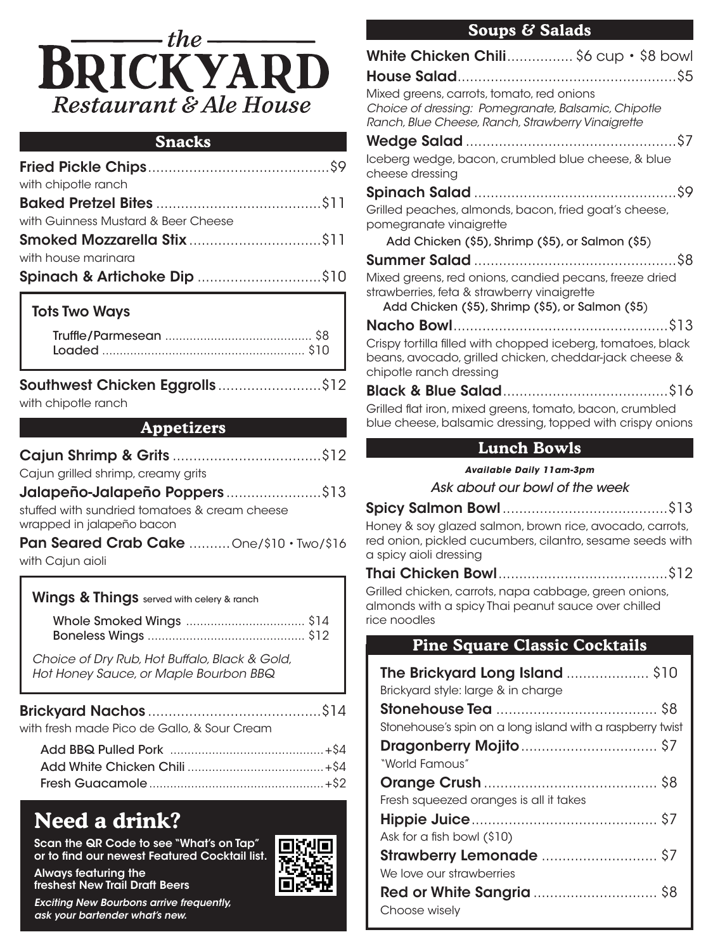

#### **Snacks**

| with chipotle ranch                 |  |
|-------------------------------------|--|
|                                     |  |
| with Guinness Mustard & Beer Cheese |  |
|                                     |  |
| with house marinara                 |  |
|                                     |  |
|                                     |  |

### Tots Two Ways

| Southwest Chicken Eggrolls \$12 |  |
|---------------------------------|--|
| with abinatla ranah             |  |

with chipotle ranch

#### **Appetizers**

| Cajun grilled shrimp, creamy grits                                         |  |
|----------------------------------------------------------------------------|--|
| <b>Jalapeño-Jalapeño Poppers</b> \$13                                      |  |
| stuffed with sundried tomatoes & cream cheese<br>wrapped in jalapeño bacon |  |
| Pan Seared Crab Cake  One/\$10 · Two/\$16                                  |  |
| with Cajun aioli                                                           |  |
| <b>Wings &amp; Things</b> served with celery & ranch                       |  |

| Choice of Dry Rub, Hot Buffalo, Black & Gold,<br>Hot Honey Sauce, or Maple Bourbon BBQ |  |
|----------------------------------------------------------------------------------------|--|
| with fresh made Pico de Gallo, & Sour Cream                                            |  |
|                                                                                        |  |

# **Need a drink?**

freshest New Trail Draft Beers

Always featuring the

Scan the QR Code to see "What's on Tap" or to find our newest Featured Cocktail list.



**Soups & Salads**

## **Lunch Bowls**

*Available Daily 11am-3pm*

*Ask about our bowl of the week*

Spicy Salmon Bowl........................................\$13 Honey & soy glazed salmon, brown rice, avocado, carrots, red onion, pickled cucumbers, cilantro, sesame seeds with a spicy aioli dressing

Thai Chicken Bowl.........................................\$12 Grilled chicken, carrots, napa cabbage, green onions,

almonds with a spicy Thai peanut sauce over chilled rice noodles

# **Pine Square Classic Cocktails**

| The Brickyard Long Island \$10<br>Brickyard style: large & in charge |  |
|----------------------------------------------------------------------|--|
|                                                                      |  |
| Stonehouse's spin on a long island with a raspberry twist            |  |
|                                                                      |  |
| "World Famous"                                                       |  |
|                                                                      |  |
| Fresh squeezed oranges is all it takes                               |  |
|                                                                      |  |
| Ask for a fish bowl (\$10)                                           |  |
|                                                                      |  |
| We love our strawberries                                             |  |
| <b>Red or White Sangria</b> \$8                                      |  |
| Choose wisely                                                        |  |

*Exciting New Bourbons arrive frequently, ask your bartender what's new.*